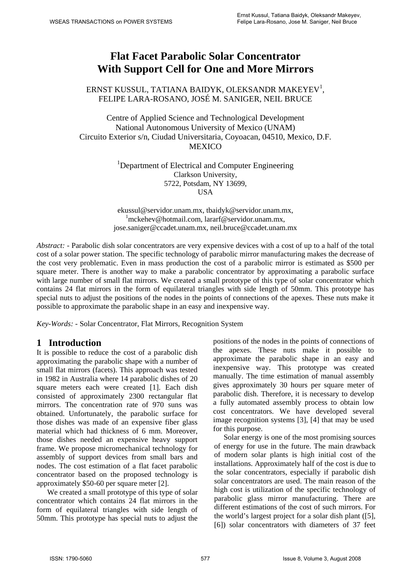# **Flat Facet Parabolic Solar Concentrator With Support Cell for One and More Mirrors**

## ERNST KUSSUL, TATIANA BAIDYK, OLEKSANDR MAKEYEV<sup>1</sup>, FELIPE LARA-ROSANO, JOSÉ M. SANIGER, NEIL BRUCE

Centre of Applied Science and Technological Development National Autonomous University of Mexico (UNAM) Circuito Exterior s/n, Ciudad Universitaria, Coyoacan, 04510, Mexico, D.F. MEXICO

> <sup>1</sup>Department of Electrical and Computer Engineering Clarkson University, 5722, Potsdam, NY 13699, **USA**

ekussul@servidor.unam.mx, tbaidyk@servidor.unam.mx, 1 mckehev@hotmail.com, lararf@servidor.unam.mx, jose.saniger@ccadet.unam.mx, neil.bruce@ccadet.unam.mx

*Abstract: -* Parabolic dish solar concentrators are very expensive devices with a cost of up to a half of the total cost of a solar power station. The specific technology of parabolic mirror manufacturing makes the decrease of the cost very problematic. Even in mass production the cost of a parabolic mirror is estimated as \$500 per square meter. There is another way to make a parabolic concentrator by approximating a parabolic surface with large number of small flat mirrors. We created a small prototype of this type of solar concentrator which contains 24 flat mirrors in the form of equilateral triangles with side length of 50mm. This prototype has special nuts to adjust the positions of the nodes in the points of connections of the apexes. These nuts make it possible to approximate the parabolic shape in an easy and inexpensive way.

*Key-Words: -* Solar Concentrator, Flat Mirrors, Recognition System

#### **1 Introduction**

It is possible to reduce the cost of a parabolic dish approximating the parabolic shape with a number of small flat mirrors (facets). This approach was tested in 1982 in Australia where 14 parabolic dishes of 20 square meters each were created [1]. Each dish consisted of approximately 2300 rectangular flat mirrors. The concentration rate of 970 suns was obtained. Unfortunately, the parabolic surface for those dishes was made of an expensive fiber glass material which had thickness of 6 mm. Moreover, those dishes needed an expensive heavy support frame. We propose micromechanical technology for assembly of support devices from small bars and nodes. The cost estimation of a flat facet parabolic concentrator based on the proposed technology is approximately \$50-60 per square meter [2].

 We created a small prototype of this type of solar concentrator which contains 24 flat mirrors in the form of equilateral triangles with side length of 50mm. This prototype has special nuts to adjust the positions of the nodes in the points of connections of the apexes. These nuts make it possible to approximate the parabolic shape in an easy and inexpensive way. This prototype was created manually. The time estimation of manual assembly gives approximately 30 hours per square meter of parabolic dish. Therefore, it is necessary to develop a fully automated assembly process to obtain low cost concentrators. We have developed several image recognition systems [3], [4] that may be used for this purpose.

 Solar energy is one of the most promising sources of energy for use in the future. The main drawback of modern solar plants is high initial cost of the installations. Approximately half of the cost is due to the solar concentrators, especially if parabolic dish solar concentrators are used. The main reason of the high cost is utilization of the specific technology of parabolic glass mirror manufacturing. There are different estimations of the cost of such mirrors. For the world's largest project for a solar dish plant ([5], [6]) solar concentrators with diameters of 37 feet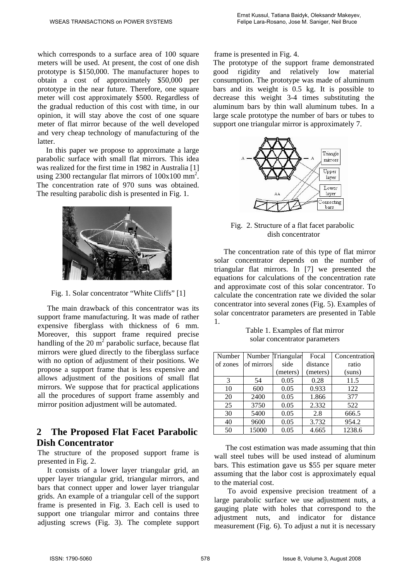which corresponds to a surface area of 100 square meters will be used. At present, the cost of one dish prototype is \$150,000. The manufacturer hopes to obtain a cost of approximately \$50,000 per prototype in the near future. Therefore, one square meter will cost approximately \$500. Regardless of the gradual reduction of this cost with time, in our opinion, it will stay above the cost of one square meter of flat mirror because of the well developed and very cheap technology of manufacturing of the latter.

 In this paper we propose to approximate a large parabolic surface with small flat mirrors. This idea was realized for the first time in 1982 in Australia [1] using 2300 rectangular flat mirrors of  $100x100$  mm<sup>2</sup>. The concentration rate of 970 suns was obtained. The resulting parabolic dish is presented in Fig. 1.



Fig. 1. Solar concentrator "White Cliffs" [1]

 The main drawback of this concentrator was its support frame manufacturing. It was made of rather expensive fiberglass with thickness of 6 mm. Moreover, this support frame required precise handling of the 20  $m^2$  parabolic surface, because flat mirrors were glued directly to the fiberglass surface with no option of adjustment of their positions. We propose a support frame that is less expensive and allows adjustment of the positions of small flat mirrors. We suppose that for practical applications all the procedures of support frame assembly and mirror position adjustment will be automated.

## **2 The Proposed Flat Facet Parabolic Dish Concentrator**

The structure of the proposed support frame is presented in Fig. 2.

 It consists of a lower layer triangular grid, an upper layer triangular grid, triangular mirrors, and bars that connect upper and lower layer triangular grids. An example of a triangular cell of the support frame is presented in Fig. 3. Each cell is used to support one triangular mirror and contains three adjusting screws (Fig. 3). The complete support frame is presented in Fig. 4.

The prototype of the support frame demonstrated good rigidity and relatively low material consumption. The prototype was made of aluminum bars and its weight is 0.5 kg. It is possible to decrease this weight 3-4 times substituting the aluminum bars by thin wall aluminum tubes. In a large scale prototype the number of bars or tubes to support one triangular mirror is approximately 7.



Fig. 2. Structure of a flat facet parabolic dish concentrator

 The concentration rate of this type of flat mirror solar concentrator depends on the number of triangular flat mirrors. In [7] we presented the equations for calculations of the concentration rate and approximate cost of this solar concentrator. To calculate the concentration rate we divided the solar concentrator into several zones (Fig. 5). Examples of solar concentrator parameters are presented in Table 1.

> Table 1. Examples of flat mirror solar concentrator parameters

| Number   |            | Number Triangular | Focal    | Concentration |
|----------|------------|-------------------|----------|---------------|
| of zones | of mirrors | side              | distance | ratio         |
|          |            | (meters)          | (meters) | (suns)        |
| 3        | 54         | 0.05              | 0.28     | 11.5          |
| 10       | 600        | 0.05              | 0.933    | 122           |
| 20       | 2400       | 0.05              | 1.866    | 377           |
| 25       | 3750       | 0.05              | 2.332    | 522           |
| 30       | 5400       | 0.05              | 2.8      | 666.5         |
| 40       | 9600       | 0.05              | 3.732    | 954.2         |
| 50       | 15000      | 0.05              | 4.665    | 1238.6        |

 The cost estimation was made assuming that thin wall steel tubes will be used instead of aluminum bars. This estimation gave us \$55 per square meter assuming that the labor cost is approximately equal to the material cost.

 To avoid expensive precision treatment of a large parabolic surface we use adjustment nuts, a gauging plate with holes that correspond to the adjustment nuts, and indicator for distance measurement (Fig. 6). To adjust a nut it is necessary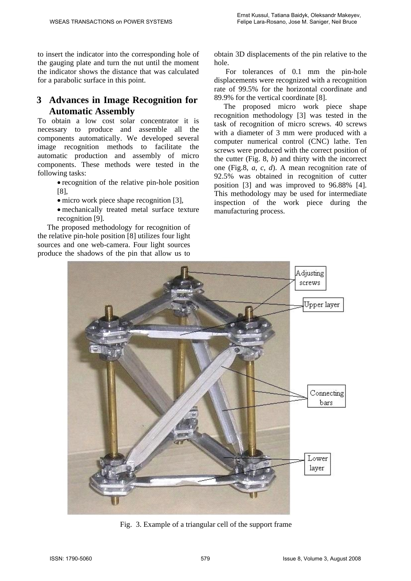to insert the indicator into the corresponding hole of the gauging plate and turn the nut until the moment the indicator shows the distance that was calculated for a parabolic surface in this point.

# **3 Advances in Image Recognition for Automatic Assembly**

To obtain a low cost solar concentrator it is necessary to produce and assemble all the components automatically. We developed several image recognition methods to facilitate the automatic production and assembly of micro components. These methods were tested in the following tasks:

> • recognition of the relative pin-hole position [8],

- micro work piece shape recognition [3].
- mechanically treated metal surface texture recognition [9].

 The proposed methodology for recognition of the relative pin-hole position [8] utilizes four light sources and one web-camera. Four light sources produce the shadows of the pin that allow us to

obtain 3D displacements of the pin relative to the hole.

 For tolerances of 0.1 mm the pin-hole displacements were recognized with a recognition rate of 99.5% for the horizontal coordinate and 89.9% for the vertical coordinate [8].

 The proposed micro work piece shape recognition methodology [3] was tested in the task of recognition of micro screws. 40 screws with a diameter of 3 mm were produced with a computer numerical control (CNC) lathe. Ten screws were produced with the correct position of the cutter (Fig. 8, *b*) and thirty with the incorrect one (Fig.8, *a*, *c*, *d*). A mean recognition rate of 92.5% was obtained in recognition of cutter position [3] and was improved to 96.88% [4]. This methodology may be used for intermediate inspection of the work piece during the manufacturing process.



Fig. 3. Example of a triangular cell of the support frame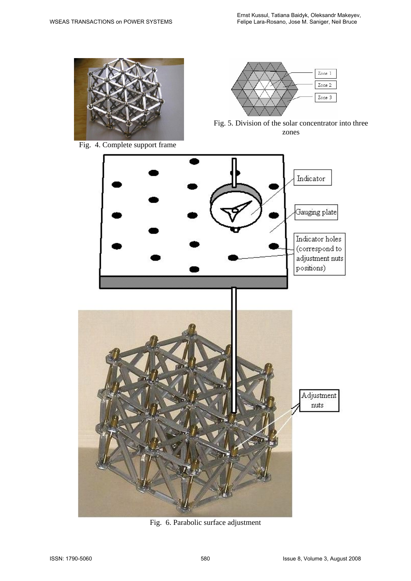

Fig. 4. Complete support frame



Fig. 5. Division of the solar concentrator into three zones



Fig. 6. Parabolic surface adjustment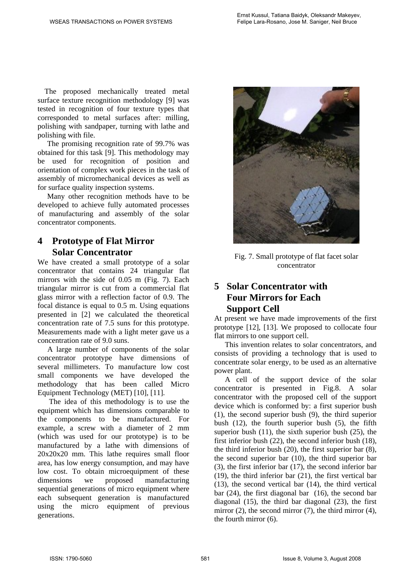The proposed mechanically treated metal surface texture recognition methodology [9] was tested in recognition of four texture types that corresponded to metal surfaces after: milling, polishing with sandpaper, turning with lathe and polishing with file.

 The promising recognition rate of 99.7% was obtained for this task [9]. This methodology may be used for recognition of position and orientation of complex work pieces in the task of assembly of micromechanical devices as well as for surface quality inspection systems.

 Many other recognition methods have to be developed to achieve fully automated processes of manufacturing and assembly of the solar concentrator components.

## **4 Prototype of Flat Mirror Solar Concentrator**

We have created a small prototype of a solar concentrator that contains 24 triangular flat mirrors with the side of 0.05 m (Fig. 7). Each triangular mirror is cut from a commercial flat glass mirror with a reflection factor of 0.9. The focal distance is equal to 0.5 m. Using equations presented in [2] we calculated the theoretical concentration rate of 7.5 suns for this prototype. Measurements made with a light meter gave us a concentration rate of 9.0 suns.

A large number of components of the solar concentrator prototype have dimensions of several millimeters. To manufacture low cost small components we have developed the methodology that has been called Micro Equipment Technology (MET) [10], [11].

 The idea of this methodology is to use the equipment which has dimensions comparable to the components to be manufactured. For example, a screw with a diameter of 2 mm (which was used for our prototype) is to be manufactured by a lathe with dimensions of 20x20x20 mm. This lathe requires small floor area, has low energy consumption, and may have low cost. To obtain microequipment of these dimensions we proposed manufacturing sequential generations of micro equipment where each subsequent generation is manufactured using the micro equipment of previous generations.



Fig. 7. Small prototype of flat facet solar concentrator

## **5 Solar Concentrator with Four Mirrors for Each Support Cell**

At present we have made improvements of the first prototype [12], [13]. We proposed to collocate four flat mirrors to one support cell.

This invention relates to solar concentrators, and consists of providing a technology that is used to concentrate solar energy, to be used as an alternative power plant.

A cell of the support device of the solar concentrator is presented in Fig.8. A solar concentrator with the proposed cell of the support device which is conformed by: a first superior bush (1), the second superior bush (9), the third superior bush (12), the fourth superior bush (5), the fifth superior bush (11), the sixth superior bush (25), the first inferior bush (22), the second inferior bush (18), the third inferior bush (20), the first superior bar (8), the second superior bar (10), the third superior bar (3), the first inferior bar (17), the second inferior bar (19), the third inferior bar (21), the first vertical bar (13), the second vertical bar (14), the third vertical bar (24), the first diagonal bar (16), the second bar diagonal (15), the third bar diagonal (23), the first mirror (2), the second mirror (7), the third mirror (4), the fourth mirror (6).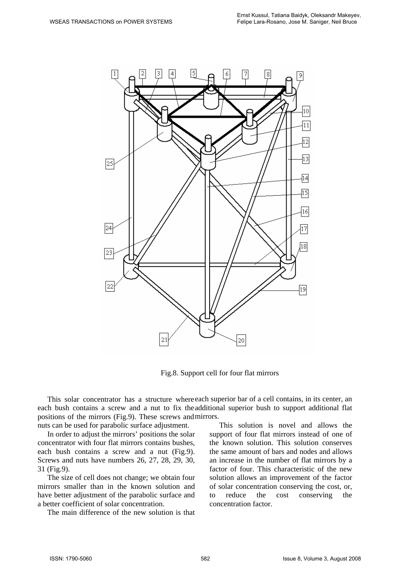

Fig.8. Support cell for four flat mirrors

This solar concentrator has a structure where each superior bar of a cell contains, in its center, an each bush contains a screw and a nut to fix the additional superior bush to support additional flat positions of the mirrors (Fig.9). These screws and mirrors.

nuts can be used for parabolic surface adjustment.

In order to adjust the mirrors' positions the solar concentrator with four flat mirrors contains bushes, each bush contains a screw and a nut (Fig.9). Screws and nuts have numbers 26, 27, 28, 29, 30, 31 (Fig.9).

The size of cell does not change; we obtain four mirrors smaller than in the known solution and have better adjustment of the parabolic surface and a better coefficient of solar concentration.

The main difference of the new solution is that

This solution is novel and allows the support of four flat mirrors instead of one of the known solution. This solution conserves the same amount of bars and nodes and allows an increase in the number of flat mirrors by a factor of four. This characteristic of the new solution allows an improvement of the factor of solar concentration conserving the cost, or, to reduce the cost conserving the concentration factor.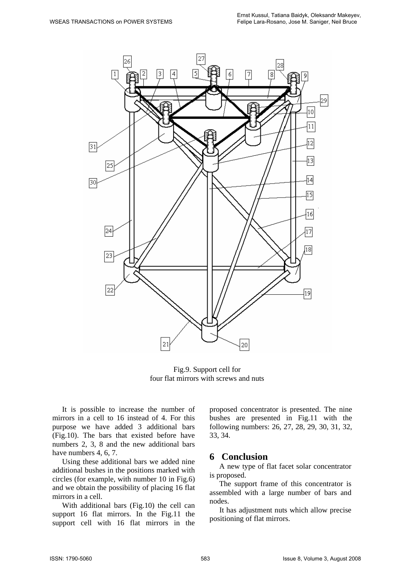

Fig.9. Support cell for four flat mirrors with screws and nuts

It is possible to increase the number of mirrors in a cell to 16 instead of 4. For this purpose we have added 3 additional bars (Fig.10). The bars that existed before have numbers 2, 3, 8 and the new additional bars have numbers 4, 6, 7.

Using these additional bars we added nine additional bushes in the positions marked with circles (for example, with number 10 in Fig.6) and we obtain the possibility of placing 16 flat mirrors in a cell.

With additional bars (Fig.10) the cell can support 16 flat mirrors. In the Fig.11 the support cell with 16 flat mirrors in the

proposed concentrator is presented. The nine bushes are presented in Fig.11 with the following numbers: 26, 27, 28, 29, 30, 31, 32, 33, 34.

#### **6 Conclusion**

A new type of flat facet solar concentrator is proposed.

The support frame of this concentrator is assembled with a large number of bars and nodes.

It has adjustment nuts which allow precise positioning of flat mirrors.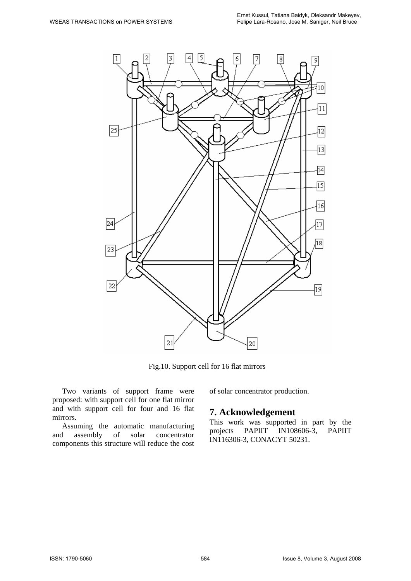

Fig.10. Support cell for 16 flat mirrors

Two variants of support frame were proposed: with support cell for one flat mirror and with support cell for four and 16 flat mirrors.

Assuming the automatic manufacturing<br>d assembly of solar concentrator and assembly of solar concentrator components this structure will reduce the cost

#### of solar concentrator production.

#### **7. Acknowledgement**

This work was supported in part by the projects PAPIIT IN108606-3, PAPIIT IN116306-3, CONACYT 50231.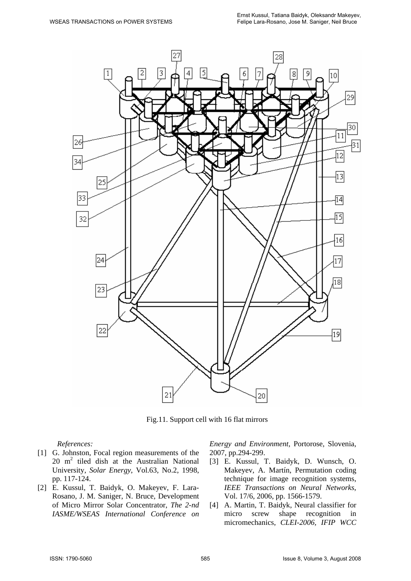

Fig.11. Support cell with 16 flat mirrors

*References:* 

- [1] G. Johnston, Focal region measurements of the 20 m2 tiled dish at the Australian National University, *Solar Energy*, Vol.63, No.2, 1998, pp. 117-124.
- [2] E. Kussul, T. Baidyk, O. Makeyev, F. Lara-Rosano, J. M. Saniger, N. Bruce, Development of Micro Mirror Solar Concentrator, *The 2-nd IASME/WSEAS International Conference on*

*Energy and Environment*, Portorose, Slovenia, 2007, pp.294-299.

- [3] E. Kussul, T. Baidyk, D. Wunsch, O. Makeyev, A. Martín, Permutation coding technique for image recognition systems, *IEEE Transactions on Neural Networks*, Vol. 17/6, 2006, pp. 1566-1579.
- [4] A. Martin, T. Baidyk, Neural classifier for micro screw shape recognition in micromechanics, *CLEI-2006, IFIP WCC*